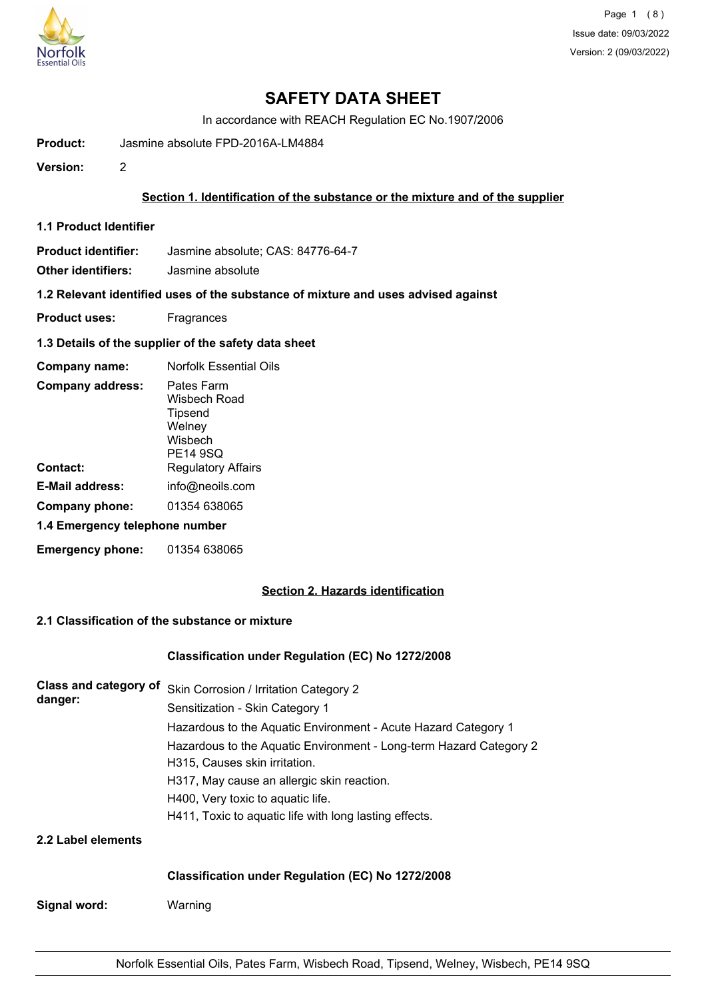

# **SAFETY DATA SHEET**

In accordance with REACH Regulation EC No.1907/2006

**Product:** Jasmine absolute FPD-2016A-LM4884

**Version:** 2

## **Section 1. Identification of the substance or the mixture and of the supplier**

**1.1 Product Identifier**

**Product identifier:** Jasmine absolute; CAS: 84776-64-7

**Other identifiers:** Jasmine absolute

**1.2 Relevant identified uses of the substance of mixture and uses advised against**

- **Product uses:** Fragrances
- **1.3 Details of the supplier of the safety data sheet**

| Company name:                  | <b>Norfolk Essential Oils</b>                                          |  |
|--------------------------------|------------------------------------------------------------------------|--|
| <b>Company address:</b>        | Pates Farm<br>Wisbech Road<br>Tipsend<br>Welney<br>Wisbech<br>PE14 9SQ |  |
| Contact:                       | <b>Regulatory Affairs</b>                                              |  |
| E-Mail address:                | info@neoils.com                                                        |  |
| Company phone:                 | 01354 638065                                                           |  |
| 1.4 Emergency telephone number |                                                                        |  |
| <b>Emergency phone:</b>        | 01354 638065                                                           |  |

## **Section 2. Hazards identification**

## **2.1 Classification of the substance or mixture**

#### **Classification under Regulation (EC) No 1272/2008**

| Class and category of<br>danger: | Skin Corrosion / Irritation Category 2                             |  |  |  |
|----------------------------------|--------------------------------------------------------------------|--|--|--|
|                                  | Sensitization - Skin Category 1                                    |  |  |  |
|                                  | Hazardous to the Aquatic Environment - Acute Hazard Category 1     |  |  |  |
|                                  | Hazardous to the Aquatic Environment - Long-term Hazard Category 2 |  |  |  |
|                                  | H315, Causes skin irritation.                                      |  |  |  |
|                                  | H317, May cause an allergic skin reaction.                         |  |  |  |
|                                  | H400, Very toxic to aquatic life.                                  |  |  |  |
|                                  | H411, Toxic to aquatic life with long lasting effects.             |  |  |  |
| 2.2 Label elements               |                                                                    |  |  |  |
|                                  | <b>Classification under Regulation (EC) No 1272/2008</b>           |  |  |  |
| Signal word:                     | Warning                                                            |  |  |  |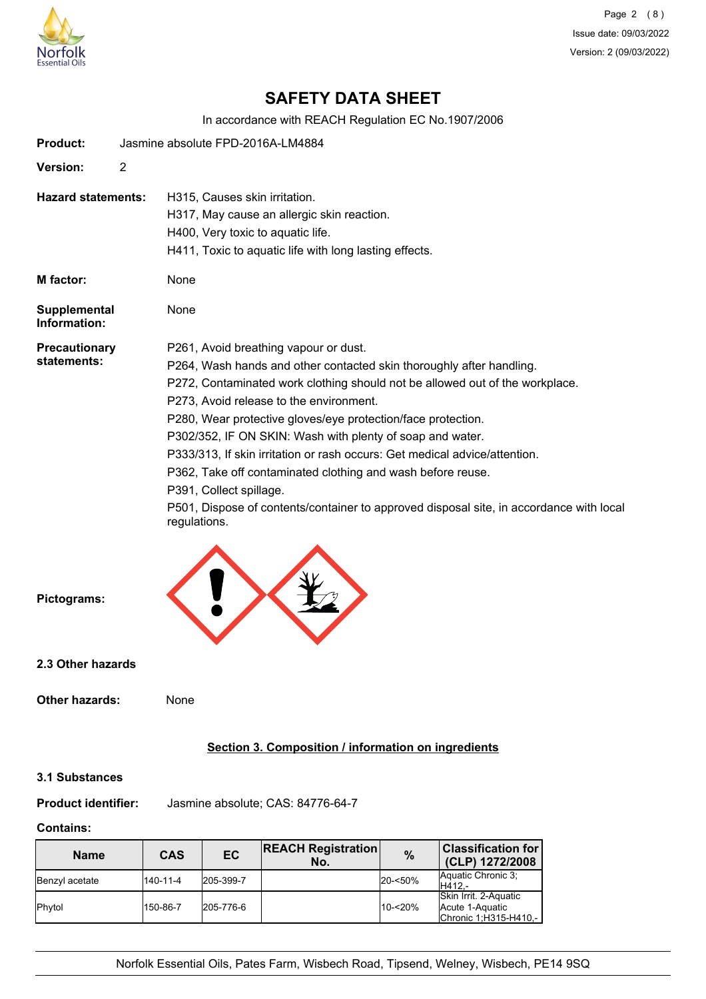

Page 2 (8) Issue date: 09/03/2022 Version: 2 (09/03/2022)

# **SAFETY DATA SHEET**

In accordance with REACH Regulation EC No.1907/2006

| Product:                            |                | Jasmine absolute FPD-2016A-LM4884                                                                       |
|-------------------------------------|----------------|---------------------------------------------------------------------------------------------------------|
| Version:                            | $\overline{2}$ |                                                                                                         |
| <b>Hazard statements:</b>           |                | H315, Causes skin irritation.<br>H317, May cause an allergic skin reaction.                             |
|                                     |                | H400, Very toxic to aquatic life.                                                                       |
|                                     |                | H411, Toxic to aquatic life with long lasting effects.                                                  |
| M factor:                           |                | None                                                                                                    |
| <b>Supplemental</b><br>Information: |                | None                                                                                                    |
| Precautionary<br>statements:        |                | P261, Avoid breathing vapour or dust.                                                                   |
|                                     |                | P264, Wash hands and other contacted skin thoroughly after handling.                                    |
|                                     |                | P272, Contaminated work clothing should not be allowed out of the workplace.                            |
|                                     |                | P273, Avoid release to the environment.                                                                 |
|                                     |                | P280, Wear protective gloves/eye protection/face protection.                                            |
|                                     |                | P302/352, IF ON SKIN: Wash with plenty of soap and water.                                               |
|                                     |                | P333/313, If skin irritation or rash occurs: Get medical advice/attention.                              |
|                                     |                | P362, Take off contaminated clothing and wash before reuse.                                             |
|                                     |                | P391, Collect spillage.                                                                                 |
|                                     |                | P501, Dispose of contents/container to approved disposal site, in accordance with local<br>regulations. |
|                                     |                |                                                                                                         |
| Pictograms:                         |                |                                                                                                         |

**2.3 Other hazards**

#### **Other hazards:** None

## **Section 3. Composition / information on ingredients**

## **3.1 Substances**

**Product identifier:** Jasmine absolute; CAS: 84776-64-7

## **Contains:**

| <b>Name</b>     | CAS      | EC        | <b>REACH Registration</b><br>No. | $\%$       | $\mid$ Classification for<br>(CLP) 1272/2008                      |
|-----------------|----------|-----------|----------------------------------|------------|-------------------------------------------------------------------|
| Benzyl acetate  | 140-11-4 | 205-399-7 |                                  | 20-<50%    | Aquatic Chronic 3:<br>H412.-                                      |
| <b>I</b> Phytol | 150-86-7 | 205-776-6 |                                  | $10 - 20%$ | Skin Irrit. 2-Aquatic<br>Acute 1-Aquatic<br>Chronic 1:H315-H410,- |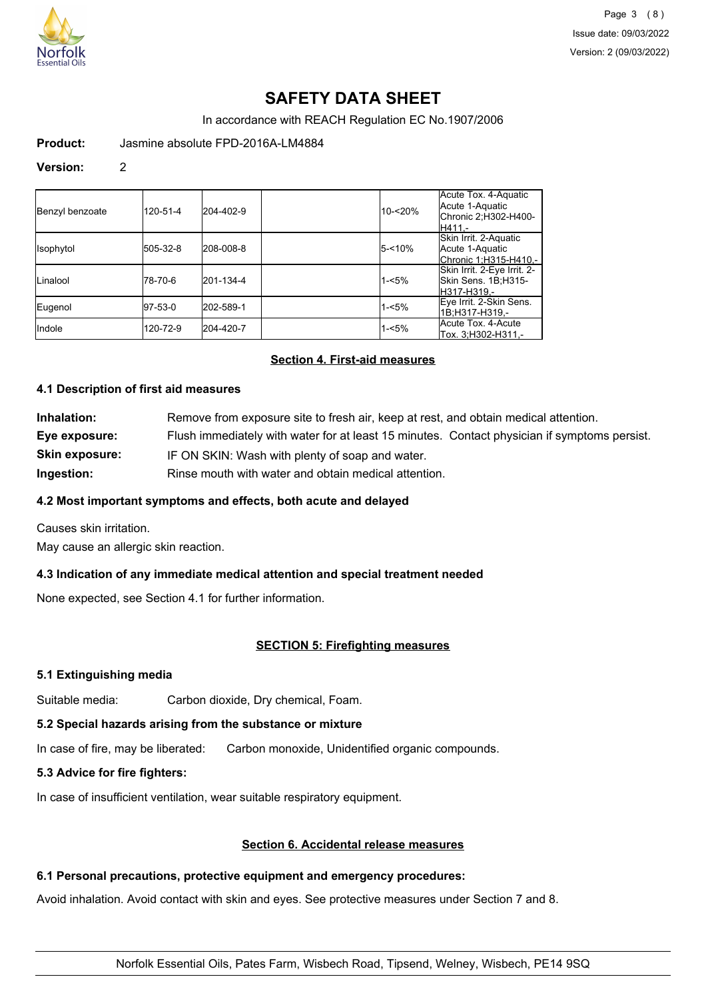

# **SAFETY DATA SHEET**

In accordance with REACH Regulation EC No.1907/2006

**Product:** Jasmine absolute FPD-2016A-LM4884

#### **Version:** 2

| Benzyl benzoate  | 120-51-4    | 204-402-9 | 10-<20%   | Acute Tox. 4-Aquatic<br>Acute 1-Aquatic<br>Chronic 2;H302-H400-<br>H411 - |
|------------------|-------------|-----------|-----------|---------------------------------------------------------------------------|
| <b>Isophytol</b> | 505-32-8    | 208-008-8 | $5 - 10%$ | Skin Irrit. 2-Aquatic<br>Acute 1-Aquatic<br>Chronic 1;H315-H410,-         |
| Linalool         | 178-70-6    | 201-134-4 | $1 - 5%$  | Skin Irrit. 2-Eye Irrit. 2-<br>Skin Sens. 1B;H315-<br>lH317-H319.-        |
| Eugenol          | $ 97-53-0 $ | 202-589-1 | $1 - 5%$  | Eye Irrit. 2-Skin Sens.<br>1B:H317-H319.-                                 |
| <b>I</b> ndole   | 120-72-9    | 204-420-7 | $1 - 5%$  | Acute Tox. 4-Acute<br>Tox. 3, H302-H311,-                                 |

## **Section 4. First-aid measures**

### **4.1 Description of first aid measures**

| Inhalation:           | Remove from exposure site to fresh air, keep at rest, and obtain medical attention.          |
|-----------------------|----------------------------------------------------------------------------------------------|
| Eye exposure:         | Flush immediately with water for at least 15 minutes. Contact physician if symptoms persist. |
| <b>Skin exposure:</b> | IF ON SKIN: Wash with plenty of soap and water.                                              |
| Ingestion:            | Rinse mouth with water and obtain medical attention.                                         |

## **4.2 Most important symptoms and effects, both acute and delayed**

Causes skin irritation.

May cause an allergic skin reaction.

## **4.3 Indication of any immediate medical attention and special treatment needed**

None expected, see Section 4.1 for further information.

## **SECTION 5: Firefighting measures**

#### **5.1 Extinguishing media**

Suitable media: Carbon dioxide, Dry chemical, Foam.

## **5.2 Special hazards arising from the substance or mixture**

In case of fire, may be liberated: Carbon monoxide, Unidentified organic compounds.

## **5.3 Advice for fire fighters:**

In case of insufficient ventilation, wear suitable respiratory equipment.

## **Section 6. Accidental release measures**

### **6.1 Personal precautions, protective equipment and emergency procedures:**

Avoid inhalation. Avoid contact with skin and eyes. See protective measures under Section 7 and 8.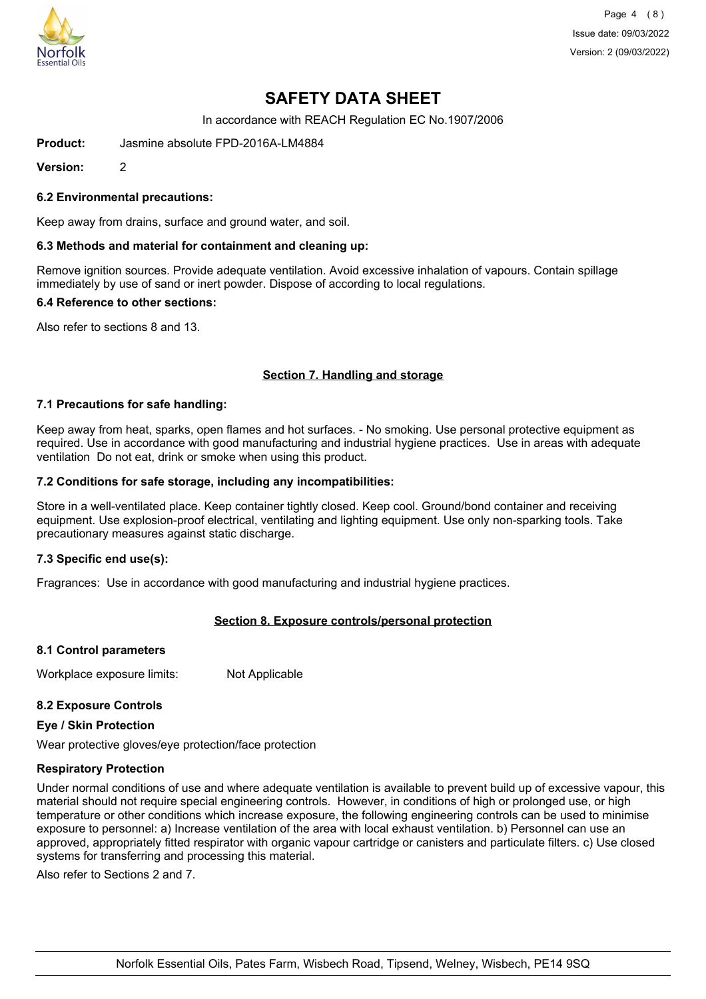

Page 4 (8) Issue date: 09/03/2022 Version: 2 (09/03/2022)

# **SAFETY DATA SHEET**

In accordance with REACH Regulation EC No.1907/2006

**Product:** Jasmine absolute FPD-2016A-LM4884

**Version:** 2

### **6.2 Environmental precautions:**

Keep away from drains, surface and ground water, and soil.

#### **6.3 Methods and material for containment and cleaning up:**

Remove ignition sources. Provide adequate ventilation. Avoid excessive inhalation of vapours. Contain spillage immediately by use of sand or inert powder. Dispose of according to local regulations.

#### **6.4 Reference to other sections:**

Also refer to sections 8 and 13.

### **Section 7. Handling and storage**

#### **7.1 Precautions for safe handling:**

Keep away from heat, sparks, open flames and hot surfaces. - No smoking. Use personal protective equipment as required. Use in accordance with good manufacturing and industrial hygiene practices. Use in areas with adequate ventilation Do not eat, drink or smoke when using this product.

#### **7.2 Conditions for safe storage, including any incompatibilities:**

Store in a well-ventilated place. Keep container tightly closed. Keep cool. Ground/bond container and receiving equipment. Use explosion-proof electrical, ventilating and lighting equipment. Use only non-sparking tools. Take precautionary measures against static discharge.

#### **7.3 Specific end use(s):**

Fragrances: Use in accordance with good manufacturing and industrial hygiene practices.

## **Section 8. Exposure controls/personal protection**

#### **8.1 Control parameters**

Workplace exposure limits: Not Applicable

## **8.2 Exposure Controls**

#### **Eye / Skin Protection**

Wear protective gloves/eye protection/face protection

#### **Respiratory Protection**

Under normal conditions of use and where adequate ventilation is available to prevent build up of excessive vapour, this material should not require special engineering controls. However, in conditions of high or prolonged use, or high temperature or other conditions which increase exposure, the following engineering controls can be used to minimise exposure to personnel: a) Increase ventilation of the area with local exhaust ventilation. b) Personnel can use an approved, appropriately fitted respirator with organic vapour cartridge or canisters and particulate filters. c) Use closed systems for transferring and processing this material.

Also refer to Sections 2 and 7.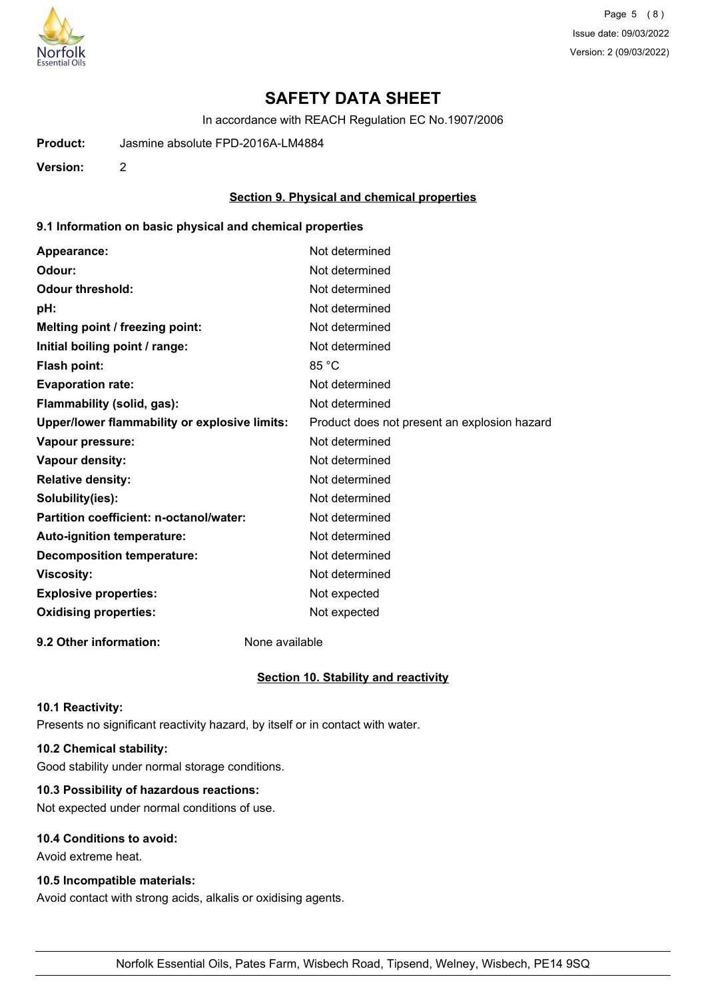

Page 5 (8) Issue date: 09/03/2022 Version: 2 (09/03/2022)

# **SAFETY DATA SHEET**

In accordance with REACH Regulation EC No.1907/2006

**Product:** Jasmine absolute FPD-2016A-LM4884

**Version:** 2

## **Section 9. Physical and chemical properties**

## **9.1 Information on basic physical and chemical properties**

| Appearance:                                   | Not determined                               |
|-----------------------------------------------|----------------------------------------------|
| Odour:                                        | Not determined                               |
| <b>Odour threshold:</b>                       | Not determined                               |
| pH:                                           | Not determined                               |
| Melting point / freezing point:               | Not determined                               |
| Initial boiling point / range:                | Not determined                               |
| <b>Flash point:</b>                           | 85 °C                                        |
| <b>Evaporation rate:</b>                      | Not determined                               |
| Flammability (solid, gas):                    | Not determined                               |
| Upper/lower flammability or explosive limits: | Product does not present an explosion hazard |
| Vapour pressure:                              | Not determined                               |
| Vapour density:                               | Not determined                               |
| <b>Relative density:</b>                      | Not determined                               |
| Solubility(ies):                              | Not determined                               |
| Partition coefficient: n-octanol/water:       | Not determined                               |
| Auto-ignition temperature:                    | Not determined                               |
| <b>Decomposition temperature:</b>             | Not determined                               |
| <b>Viscosity:</b>                             | Not determined                               |
| <b>Explosive properties:</b>                  | Not expected                                 |
| <b>Oxidising properties:</b>                  | Not expected                                 |
|                                               |                                              |

**9.2 Other information:** None available

#### **Section 10. Stability and reactivity**

#### **10.1 Reactivity:**

Presents no significant reactivity hazard, by itself or in contact with water.

# **10.2 Chemical stability:**

Good stability under normal storage conditions.

# **10.3 Possibility of hazardous reactions:**

Not expected under normal conditions of use.

## **10.4 Conditions to avoid:**

Avoid extreme heat.

## **10.5 Incompatible materials:**

Avoid contact with strong acids, alkalis or oxidising agents.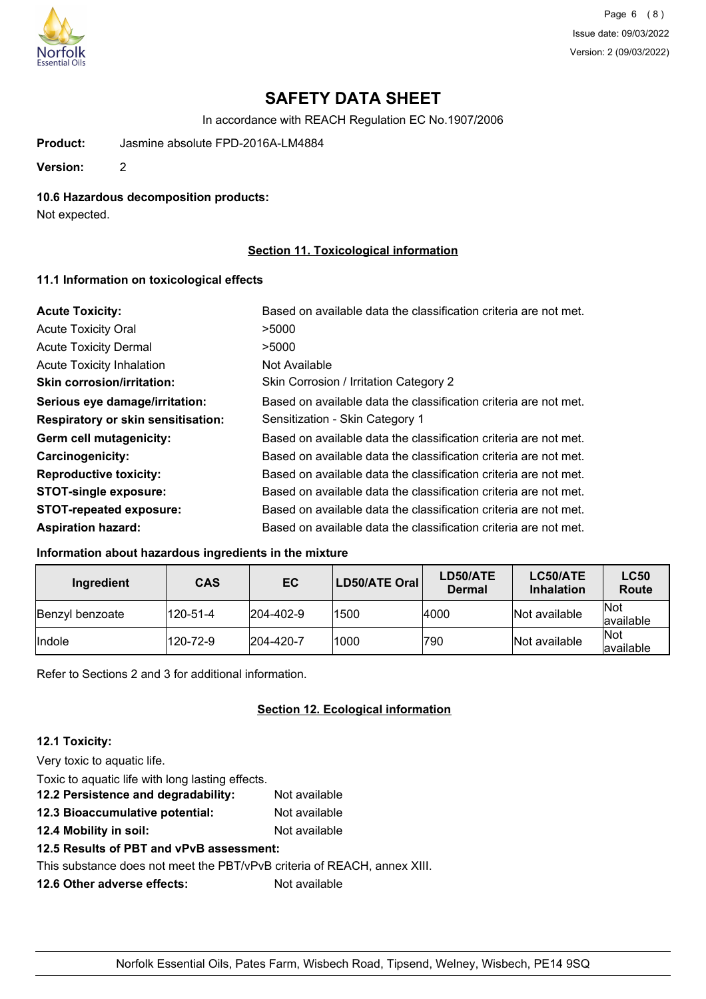

Page 6 (8) Issue date: 09/03/2022 Version: 2 (09/03/2022)

# **SAFETY DATA SHEET**

In accordance with REACH Regulation EC No.1907/2006

**Product:** Jasmine absolute FPD-2016A-LM4884

**Version:** 2

## **10.6 Hazardous decomposition products:**

Not expected.

## **Section 11. Toxicological information**

## **11.1 Information on toxicological effects**

| <b>Acute Toxicity:</b>                    | Based on available data the classification criteria are not met. |
|-------------------------------------------|------------------------------------------------------------------|
| <b>Acute Toxicity Oral</b>                | >5000                                                            |
| <b>Acute Toxicity Dermal</b>              | >5000                                                            |
| <b>Acute Toxicity Inhalation</b>          | Not Available                                                    |
| <b>Skin corrosion/irritation:</b>         | Skin Corrosion / Irritation Category 2                           |
| Serious eye damage/irritation:            | Based on available data the classification criteria are not met. |
| <b>Respiratory or skin sensitisation:</b> | Sensitization - Skin Category 1                                  |
| Germ cell mutagenicity:                   | Based on available data the classification criteria are not met. |
| <b>Carcinogenicity:</b>                   | Based on available data the classification criteria are not met. |
| <b>Reproductive toxicity:</b>             | Based on available data the classification criteria are not met. |
| <b>STOT-single exposure:</b>              | Based on available data the classification criteria are not met. |
| <b>STOT-repeated exposure:</b>            | Based on available data the classification criteria are not met. |
| <b>Aspiration hazard:</b>                 | Based on available data the classification criteria are not met. |

## **Information about hazardous ingredients in the mixture**

| Ingredient      | <b>CAS</b> | EC                | LD50/ATE Oral | LD50/ATE<br><b>Dermal</b> | LC50/ATE<br><b>Inhalation</b> | <b>LC50</b><br>Route      |
|-----------------|------------|-------------------|---------------|---------------------------|-------------------------------|---------------------------|
| Benzyl benzoate | 120-51-4   | $ 204 - 402 - 9 $ | 1500          | 4000                      | Not available                 | <b>Not</b><br>lavailable  |
| <b>Indole</b>   | 120-72-9   | $ 204 - 420 - 7 $ | 1000          | 790                       | Not available                 | <b>INot</b><br>lavailable |

Refer to Sections 2 and 3 for additional information.

## **Section 12. Ecological information**

## **12.1 Toxicity:**

Very toxic to aquatic life.

Toxic to aquatic life with long lasting effects. **12.2 Persistence and degradability:** Not available

- **12.3 Bioaccumulative potential:** Not available
- **12.4 Mobility in soil:** Not available

**12.5 Results of PBT and vPvB assessment:**

This substance does not meet the PBT/vPvB criteria of REACH, annex XIII.

**12.6 Other adverse effects:** Not available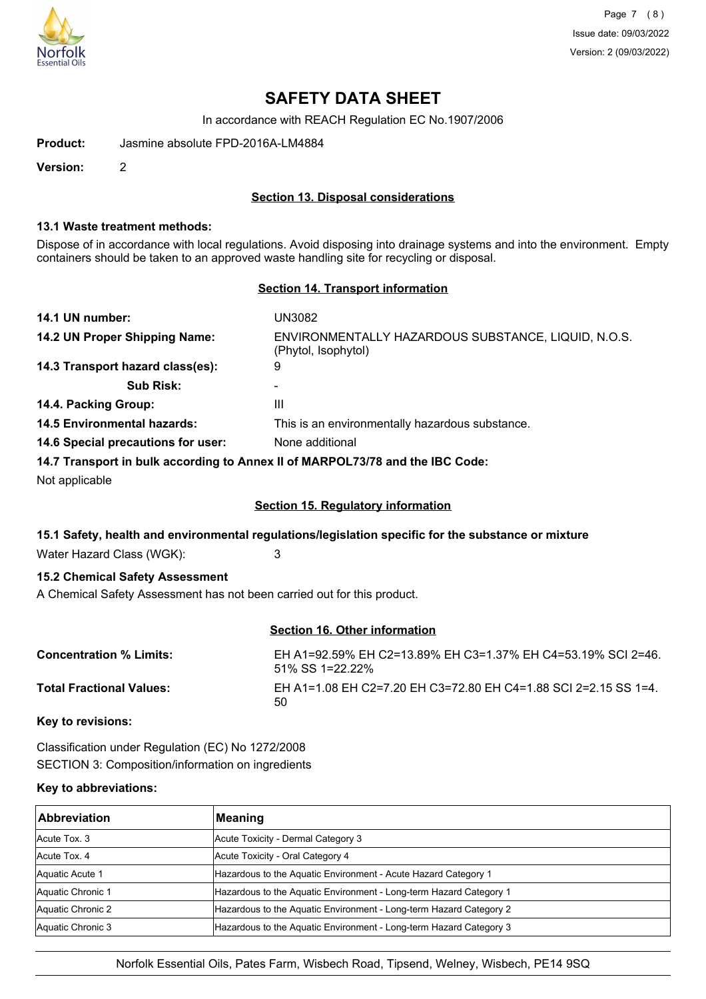

Page 7 (8) Issue date: 09/03/2022 Version: 2 (09/03/2022)

# **SAFETY DATA SHEET**

In accordance with REACH Regulation EC No.1907/2006

**Product:** Jasmine absolute FPD-2016A-LM4884

**Version:** 2

### **Section 13. Disposal considerations**

#### **13.1 Waste treatment methods:**

Dispose of in accordance with local regulations. Avoid disposing into drainage systems and into the environment. Empty containers should be taken to an approved waste handling site for recycling or disposal.

#### **Section 14. Transport information**

| 14.1 UN number:                    | UN3082                                                                                 |
|------------------------------------|----------------------------------------------------------------------------------------|
| 14.2 UN Proper Shipping Name:      | ENVIRONMENTALLY HAZARDOUS SUBSTANCE, LIQUID, N.O.S.<br>(Phytol, Isophytol)             |
| 14.3 Transport hazard class(es):   | 9                                                                                      |
| <b>Sub Risk:</b>                   | ۰                                                                                      |
| 14.4. Packing Group:               | Ш                                                                                      |
| <b>14.5 Environmental hazards:</b> | This is an environmentally hazardous substance.                                        |
| 14.6 Special precautions for user: | None additional                                                                        |
|                                    | 44.7. Thomas and the best lead of street a change of the BBOL 70/70 and the IBO Order. |

**14.7 Transport in bulk according to Annex II of MARPOL73/78 and the IBC Code:**

Not applicable

## **Section 15. Regulatory information**

#### **15.1 Safety, health and environmental regulations/legislation specific for the substance or mixture**

Water Hazard Class (WGK): 3

### **15.2 Chemical Safety Assessment**

A Chemical Safety Assessment has not been carried out for this product.

## **Section 16. Other information**

| <b>Concentration % Limits:</b>  | EH A1=92.59% EH C2=13.89% EH C3=1.37% EH C4=53.19% SCI 2=46.<br>51% SS 1=22.22% |
|---------------------------------|---------------------------------------------------------------------------------|
| <b>Total Fractional Values:</b> | EH A1=1.08 EH C2=7.20 EH C3=72.80 EH C4=1.88 SCI 2=2.15 SS 1=4.<br>50           |

**Key to revisions:**

Classification under Regulation (EC) No 1272/2008 SECTION 3: Composition/information on ingredients

### **Key to abbreviations:**

| <b>Abbreviation</b> | Meaning                                                            |
|---------------------|--------------------------------------------------------------------|
| Acute Tox. 3        | Acute Toxicity - Dermal Category 3                                 |
| Acute Tox, 4        | Acute Toxicity - Oral Category 4                                   |
| Aquatic Acute 1     | Hazardous to the Aquatic Environment - Acute Hazard Category 1     |
| Aquatic Chronic 1   | Hazardous to the Aquatic Environment - Long-term Hazard Category 1 |
| Aquatic Chronic 2   | Hazardous to the Aquatic Environment - Long-term Hazard Category 2 |
| Aquatic Chronic 3   | Hazardous to the Aquatic Environment - Long-term Hazard Category 3 |

Norfolk Essential Oils, Pates Farm, Wisbech Road, Tipsend, Welney, Wisbech, PE14 9SQ